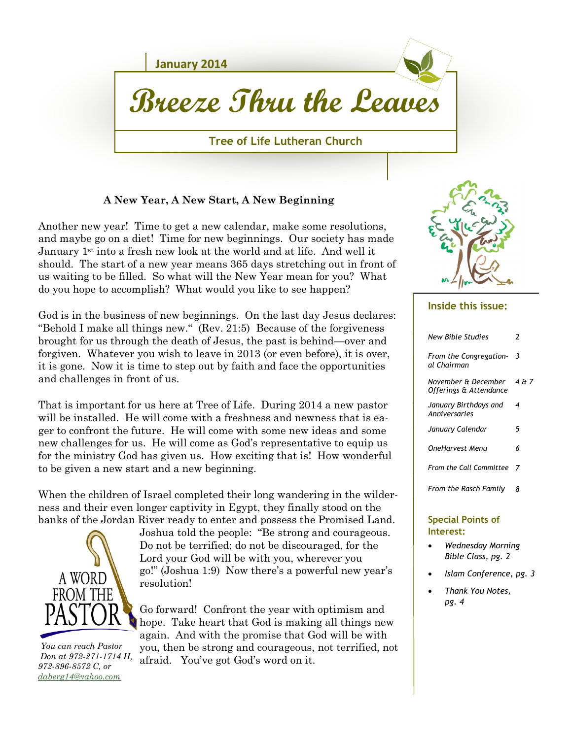

### **A New Year, A New Start, A New Beginning**

Another new year! Time to get a new calendar, make some resolutions, and maybe go on a diet! Time for new beginnings. Our society has made January 1<sup>st</sup> into a fresh new look at the world and at life. And well it should. The start of a new year means 365 days stretching out in front of us waiting to be filled. So what will the New Year mean for you? What do you hope to accomplish? What would you like to see happen?

God is in the business of new beginnings. On the last day Jesus declares: "Behold I make all things new." (Rev. 21:5) Because of the forgiveness brought for us through the death of Jesus, the past is behind—over and forgiven. Whatever you wish to leave in 2013 (or even before), it is over, it is gone. Now it is time to step out by faith and face the opportunities and challenges in front of us.

That is important for us here at Tree of Life. During 2014 a new pastor will be installed. He will come with a freshness and newness that is eager to confront the future. He will come with some new ideas and some new challenges for us. He will come as God's representative to equip us for the ministry God has given us. How exciting that is! How wonderful to be given a new start and a new beginning.

When the children of Israel completed their long wandering in the wilderness and their even longer captivity in Egypt, they finally stood on the banks of the Jordan River ready to enter and possess the Promised Land.



 *You can reach Pastor Don at 972-271-1714 H, 972-896-8572 C, or [daberg14@yahoo.com](mailto:daberg14@yahoo.com)*

Joshua told the people: "Be strong and courageous. Do not be terrified; do not be discouraged, for the Lord your God will be with you, wherever you go!" (Joshua 1:9) Now there's a powerful new year's resolution!

Go forward! Confront the year with optimism and hope. Take heart that God is making all things new again. And with the promise that God will be with you, then be strong and courageous, not terrified, not afraid. You've got God's word on it.



#### **Inside this issue:**

| New Bible Studies                             | 2     |
|-----------------------------------------------|-------|
| From the Congregation-<br>al Chairman         | 3     |
| November & December<br>Offerings & Attendance | 4 & 7 |
| January Birthdays and<br>Anniversaries        | 4     |
| January Calendar                              | 5     |
| OneHarvest Menu                               | 6     |
| <b>From the Call Committee</b>                | - 7   |
| From the Rasch Family                         | я     |
|                                               |       |

#### **Special Points of Interest:**

- *Wednesday Morning Bible Class, pg. 2*
- *Islam Conference, pg. 3*
- *Thank You Notes, pg. 4*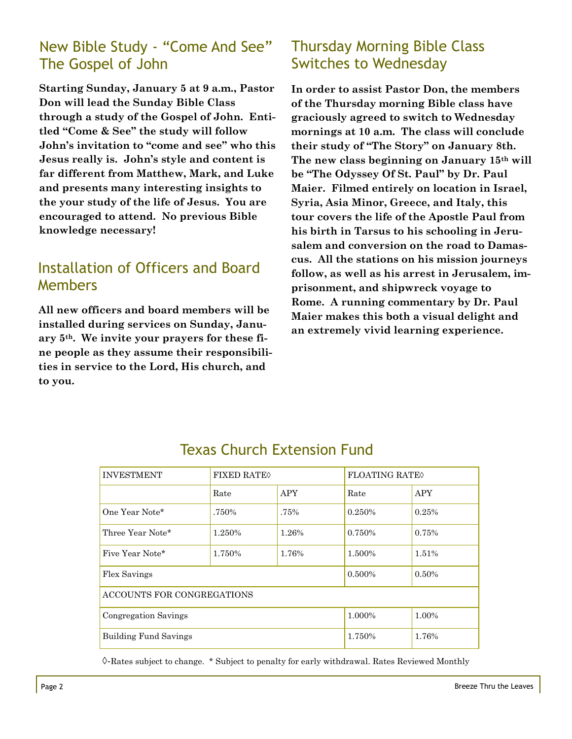## New Bible Study - "Come And See" The Gospel of John

**Starting Sunday, January 5 at 9 a.m., Pastor Don will lead the Sunday Bible Class through a study of the Gospel of John. Entitled "Come & See" the study will follow John's invitation to "come and see" who this Jesus really is. John's style and content is far different from Matthew, Mark, and Luke and presents many interesting insights to the your study of the life of Jesus. You are encouraged to attend. No previous Bible knowledge necessary!**

## Installation of Officers and Board Members

**All new officers and board members will be installed during services on Sunday, January 5th. We invite your prayers for these fine people as they assume their responsibilities in service to the Lord, His church, and to you.**

# Thursday Morning Bible Class Switches to Wednesday

**In order to assist Pastor Don, the members of the Thursday morning Bible class have graciously agreed to switch to Wednesday mornings at 10 a.m. The class will conclude their study of "The Story" on January 8th. The new class beginning on January 15th will be "The Odyssey Of St. Paul" by Dr. Paul Maier. Filmed entirely on location in Israel, Syria, Asia Minor, Greece, and Italy, this tour covers the life of the Apostle Paul from his birth in Tarsus to his schooling in Jerusalem and conversion on the road to Damascus. All the stations on his mission journeys follow, as well as his arrest in Jerusalem, imprisonment, and shipwreck voyage to Rome. A running commentary by Dr. Paul Maier makes this both a visual delight and an extremely vivid learning experience.**

| <b>INVESTMENT</b>            | <b>FIXED RATE</b> |            | <b>FLOATING RATE</b> |            |  |  |
|------------------------------|-------------------|------------|----------------------|------------|--|--|
|                              | Rate              | <b>APY</b> | Rate                 | <b>APY</b> |  |  |
| One Year Note*               | .750%             | .75%       | 0.250%               | 0.25%      |  |  |
| Three Year Note*             | 1.250%            | 1.26%      | 0.750%               | 0.75%      |  |  |
| Five Year Note*              | 1.750%            | 1.76%      | 1.500%               | 1.51%      |  |  |
| Flex Savings                 | 0.500%            | 0.50%      |                      |            |  |  |
| ACCOUNTS FOR CONGREGATIONS   |                   |            |                      |            |  |  |
| Congregation Savings         | 1.000%            | 1.00%      |                      |            |  |  |
| <b>Building Fund Savings</b> | 1.750%            | 1.76%      |                      |            |  |  |

# Texas Church Extension Fund

◊-Rates subject to change. \* Subject to penalty for early withdrawal. Rates Reviewed Monthly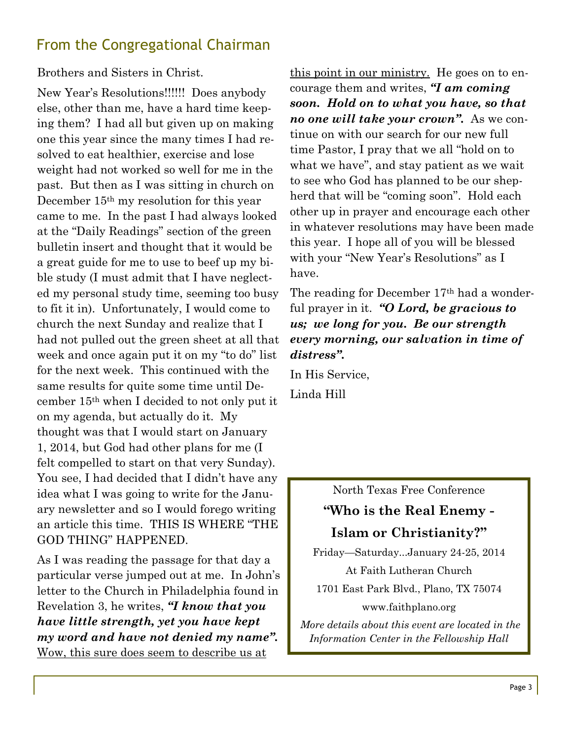# From the Congregational Chairman

### Brothers and Sisters in Christ.

New Year's Resolutions!!!!!! Does anybody else, other than me, have a hard time keeping them? I had all but given up on making one this year since the many times I had resolved to eat healthier, exercise and lose weight had not worked so well for me in the past. But then as I was sitting in church on December 15th my resolution for this year came to me. In the past I had always looked at the "Daily Readings" section of the green bulletin insert and thought that it would be a great guide for me to use to beef up my bible study (I must admit that I have neglected my personal study time, seeming too busy to fit it in). Unfortunately, I would come to church the next Sunday and realize that I had not pulled out the green sheet at all that week and once again put it on my "to do" list for the next week. This continued with the same results for quite some time until December 15th when I decided to not only put it on my agenda, but actually do it. My thought was that I would start on January 1, 2014, but God had other plans for me (I felt compelled to start on that very Sunday). You see, I had decided that I didn't have any idea what I was going to write for the January newsletter and so I would forego writing an article this time. THIS IS WHERE "THE GOD THING" HAPPENED.

As I was reading the passage for that day a particular verse jumped out at me. In John's letter to the Church in Philadelphia found in Revelation 3, he writes, *"I know that you have little strength, yet you have kept my word and have not denied my name".* Wow, this sure does seem to describe us at

this point in our ministry. He goes on to encourage them and writes, *"I am coming soon. Hold on to what you have, so that no one will take your crown".* As we continue on with our search for our new full time Pastor, I pray that we all "hold on to what we have", and stay patient as we wait to see who God has planned to be our shepherd that will be "coming soon". Hold each other up in prayer and encourage each other in whatever resolutions may have been made this year. I hope all of you will be blessed with your "New Year's Resolutions" as I have.

The reading for December 17<sup>th</sup> had a wonderful prayer in it. *"O Lord, be gracious to us; we long for you. Be our strength every morning, our salvation in time of distress".*

In His Service,

Linda Hill

North Texas Free Conference

# **"Who is the Real Enemy - Islam or Christianity?"**

Friday—Saturday...January 24-25, 2014 At Faith Lutheran Church 1701 East Park Blvd., Plano, TX 75074 www.faithplano.org

*More details about this event are located in the Information Center in the Fellowship Hall*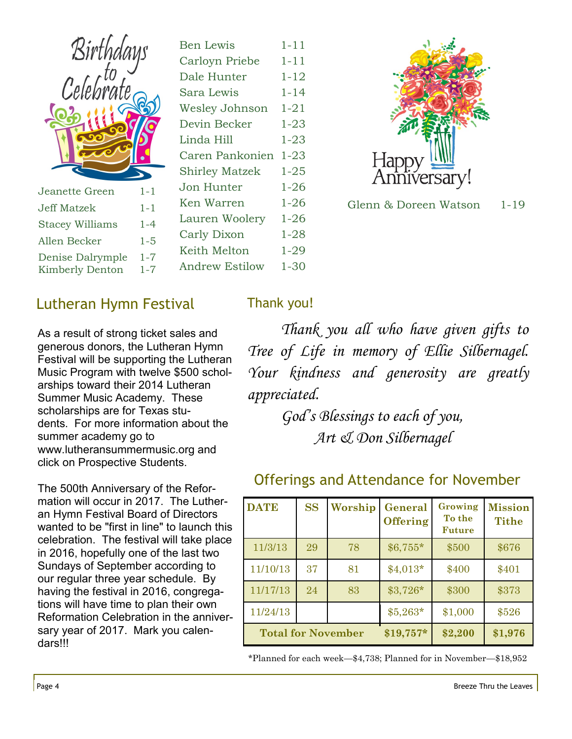| Birthdays<br>Celebrate |         | E<br>$\overline{C}$<br>Ľ<br>S<br>V<br>Ľ<br>L<br>$\overline{C}$<br>S |
|------------------------|---------|---------------------------------------------------------------------|
| Jeanette Green         | $1 - 1$ | J                                                                   |
| <b>Jeff Matzek</b>     | $1 - 1$ | K                                                                   |
| <b>Stacey Williams</b> | $1 - 4$ | L                                                                   |
|                        |         | $\mathsf{C}$                                                        |
| Allen Becker           | $1 - 5$ | K                                                                   |

| $1 - 11$ |
|----------|
| 1-11     |
| 1-12     |
| 1-14     |
| 1-21     |
| $1 - 23$ |
| $1 - 23$ |
| $1 - 23$ |
| $1 - 25$ |
| $1 - 26$ |
| $1 - 26$ |
| 1-26     |
| 1-28     |
| 1-29     |
| 1-30     |
|          |



Glenn & Doreen Watson 1-19

## Lutheran Hymn Festival

As a result of strong ticket sales and generous donors, the Lutheran Hymn Festival will be supporting the Lutheran Music Program with twelve \$500 scholarships toward their 2014 Lutheran Summer Music Academy. These scholarships are for Texas students. For more information about the summer academy go to www.lutheransummermusic.org and click on Prospective Students.

The 500th Anniversary of the Reformation will occur in 2017. The Lutheran Hymn Festival Board of Directors wanted to be "first in line" to launch this celebration. The festival will take place in 2016, hopefully one of the last two Sundays of September according to our regular three year schedule. By having the festival in 2016, congregations will have time to plan their own Reformation Celebration in the anniversary year of 2017. Mark you calendars!!!

### Thank you!

*Thank you all who have given gifts to Tree of Life in memory of Ellie Silbernagel. Your kindness and generosity are greatly appreciated.*

> *God's Blessings to each of you, Art & Don Silbernagel*

| <b>DATE</b> | <b>SS</b> | Worship                   | General<br><b>Offering</b> | Growing<br>To the<br><b>Future</b> | <b>Mission</b><br><b>Tithe</b> |
|-------------|-----------|---------------------------|----------------------------|------------------------------------|--------------------------------|
| 11/3/13     | 29        | 78                        | $$6,755*$                  | \$500                              | \$676                          |
| 11/10/13    | 37        | 81                        | $$4,013*$                  | \$400                              | \$401                          |
| 11/17/13    | 24        | 83                        | $$3,726*$                  | \$300                              | \$373                          |
| 11/24/13    |           |                           | $$5,263*$                  | \$1,000                            | \$526                          |
|             |           | <b>Total for November</b> | $$19,757*$                 | \$2,200                            | \$1,976                        |

### Offerings and Attendance for November

\*Planned for each week—\$4,738; Planned for in November—\$18,952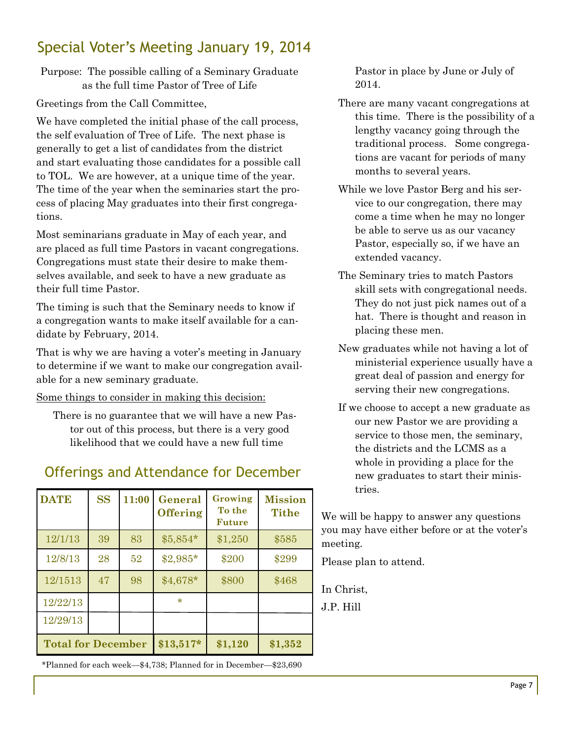# Special Voter's Meeting January 19, 2014

Purpose: The possible calling of a Seminary Graduate as the full time Pastor of Tree of Life

Greetings from the Call Committee,

We have completed the initial phase of the call process, the self evaluation of Tree of Life. The next phase is generally to get a list of candidates from the district and start evaluating those candidates for a possible call to TOL. We are however, at a unique time of the year. The time of the year when the seminaries start the process of placing May graduates into their first congregations.

Most seminarians graduate in May of each year, and are placed as full time Pastors in vacant congregations. Congregations must state their desire to make themselves available, and seek to have a new graduate as their full time Pastor.

The timing is such that the Seminary needs to know if a congregation wants to make itself available for a candidate by February, 2014.

That is why we are having a voter's meeting in January to determine if we want to make our congregation available for a new seminary graduate.

Some things to consider in making this decision:

There is no guarantee that we will have a new Pastor out of this process, but there is a very good likelihood that we could have a new full time

# Offerings and Attendance for December

| <b>DATE</b>               | <b>SS</b> | 11:00 | General<br><b>Offering</b> | Growing<br>To the<br><b>Future</b> | <b>Mission</b><br><b>Tithe</b> |
|---------------------------|-----------|-------|----------------------------|------------------------------------|--------------------------------|
| 12/1/13                   | 39        | 83    | $$5,854*$                  | \$1,250                            | \$585                          |
| 12/8/13                   | 28        | 52    | \$2,985*                   | \$200                              | \$299                          |
| 12/1513                   | 47        | 98    | $$4,678*$                  | \$800                              | \$468                          |
| 12/22/13                  |           |       | $\star$                    |                                    |                                |
| 12/29/13                  |           |       |                            |                                    |                                |
| <b>Total for December</b> |           |       | $$13,517*$                 | \$1,120                            | \$1,352                        |

\*Planned for each week—\$4,738; Planned for in December—\$23,690

Pastor in place by June or July of 2014.

- There are many vacant congregations at this time. There is the possibility of a lengthy vacancy going through the traditional process. Some congregations are vacant for periods of many months to several years.
- While we love Pastor Berg and his service to our congregation, there may come a time when he may no longer be able to serve us as our vacancy Pastor, especially so, if we have an extended vacancy.
- The Seminary tries to match Pastors skill sets with congregational needs. They do not just pick names out of a hat. There is thought and reason in placing these men.
- New graduates while not having a lot of ministerial experience usually have a great deal of passion and energy for serving their new congregations.
- If we choose to accept a new graduate as our new Pastor we are providing a service to those men, the seminary, the districts and the LCMS as a whole in providing a place for the new graduates to start their ministries.

We will be happy to answer any questions you may have either before or at the voter's meeting.

Please plan to attend.

In Christ,

J.P. Hill